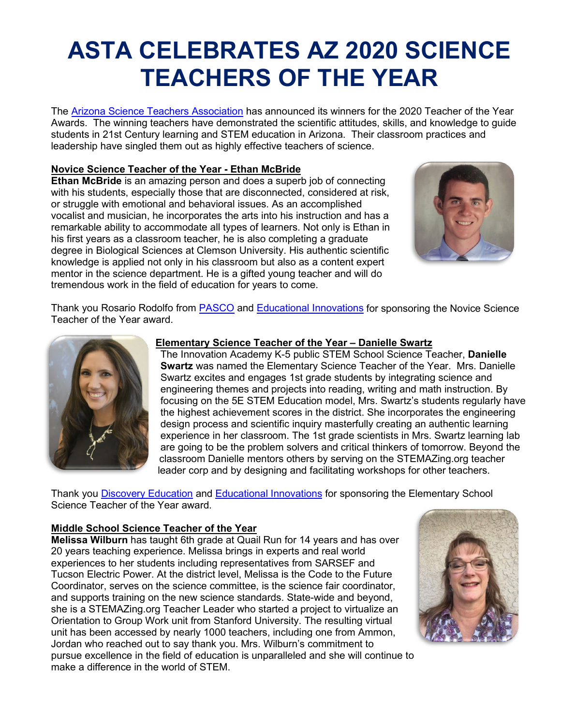# **ASTA CELEBRATES AZ 2020 SCIENCE TEACHERS OF THE YEAR**

The [Arizona Science Teachers Association](https://youtu.be/TcRi5cIIELA) has announced its winners for the 2020 Teacher of the Year Awards. The winning teachers have demonstrated the scientific attitudes, skills, and knowledge to guide students in 21st Century learning and STEM education in Arizona. Their classroom practices and leadership have singled them out as highly effective teachers of science.

#### **Novice Science Teacher of the Year - Ethan McBride**

**Ethan McBride** is an amazing person and does a superb job of connecting with his students, especially those that are disconnected, considered at risk, or struggle with emotional and behavioral issues. As an accomplished vocalist and musician, he incorporates the arts into his instruction and has a remarkable ability to accommodate all types of learners. Not only is Ethan in his first years as a classroom teacher, he is also completing a graduate degree in Biological Sciences at Clemson University. His authentic scientific knowledge is applied not only in his classroom but also as a content expert mentor in the science department. He is a gifted young teacher and will do tremendous work in the field of education for years to come.



Thank you Rosario Rodolfo from [PASCO](https://www.pasco.com/) and [Educational Innovations](https://www.teachersource.com/) for sponsoring the Novice Science Teacher of the Year award.



## **Elementary Science Teacher of the Year – Danielle Swartz**

The Innovation Academy K-5 public STEM School Science Teacher, **Danielle Swartz** was named the Elementary Science Teacher of the Year. Mrs. Danielle Swartz excites and engages 1st grade students by integrating science and engineering themes and projects into reading, writing and math instruction. By focusing on the 5E STEM Education model, Mrs. Swartz's students regularly have the highest achievement scores in the district. She incorporates the engineering design process and scientific inquiry masterfully creating an authentic learning experience in her classroom. The 1st grade scientists in Mrs. Swartz learning lab are going to be the problem solvers and critical thinkers of tomorrow. Beyond the classroom Danielle mentors others by serving on the STEMAZing.org teacher leader corp and by designing and facilitating workshops for other teachers.

Thank you **Discovery Education** and **Educational Innovations** for sponsoring the Elementary School Science Teacher of the Year award.

## **Middle School Science Teacher of the Year**

**Melissa Wilburn** has taught 6th grade at Quail Run for 14 years and has over 20 years teaching experience. Melissa brings in experts and real world experiences to her students including representatives from SARSEF and Tucson Electric Power. At the district level, Melissa is the Code to the Future Coordinator, serves on the science committee, is the science fair coordinator, and supports training on the new science standards. State-wide and beyond, she is a STEMAZing.org Teacher Leader who started a project to virtualize an Orientation to Group Work unit from Stanford University. The resulting virtual unit has been accessed by nearly 1000 teachers, including one from Ammon, Jordan who reached out to say thank you. Mrs. Wilburn's commitment to pursue excellence in the field of education is unparalleled and she will continue to make a difference in the world of STEM.